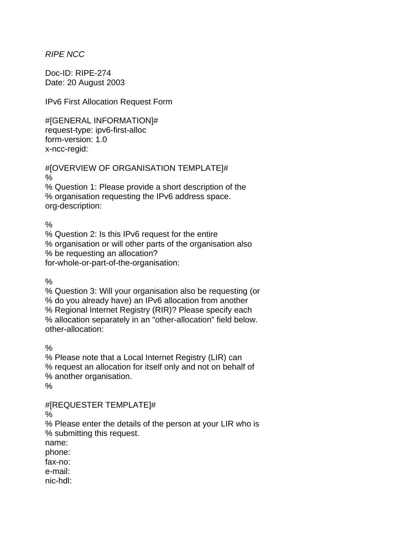*RIPE NCC* 

Doc-ID: RIPE-274 Date: 20 August 2003

IPv6 First Allocation Request Form

#[GENERAL INFORMATION]# request-type: ipv6-first-alloc form-version: 1.0 x-ncc-regid:

#[OVERVIEW OF ORGANISATION TEMPLATE]# % % Question 1: Please provide a short description of the

% organisation requesting the IPv6 address space. org-description:

 $\frac{0}{0}$ 

% Question 2: Is this IPv6 request for the entire % organisation or will other parts of the organisation also % be requesting an allocation? for-whole-or-part-of-the-organisation:

 $\frac{0}{6}$ 

% Question 3: Will your organisation also be requesting (or % do you already have) an IPv6 allocation from another % Regional Internet Registry (RIR)? Please specify each % allocation separately in an "other-allocation" field below. other-allocation:

%

% Please note that a Local Internet Registry (LIR) can % request an allocation for itself only and not on behalf of % another organisation. %

#[REQUESTER TEMPLATE]#

%

% Please enter the details of the person at your LIR who is % submitting this request.

name:

phone:

fax-no:

e-mail:

nic-hdl: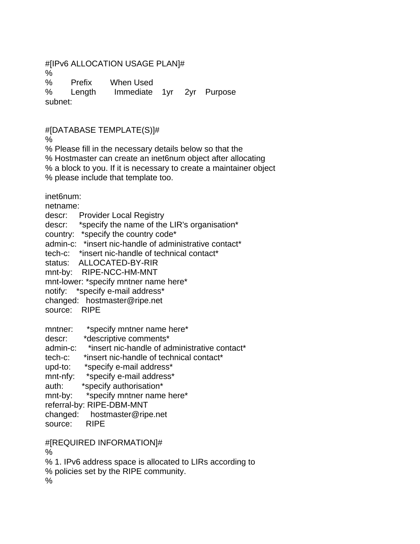## #[IPv6 ALLOCATION USAGE PLAN]#

%

% Prefix When Used % Length Immediate 1yr 2yr Purpose subnet:

#[DATABASE TEMPLATE(S)]#

%

% Please fill in the necessary details below so that the

% Hostmaster can create an inet6num object after allocating

% a block to you. If it is necessary to create a maintainer object

% please include that template too.

inet6num:

netname:

descr: Provider Local Registry

descr: \*specify the name of the LIR's organisation\*

country: \*specify the country code\*

admin-c: \*insert nic-handle of administrative contact\*

tech-c: \*insert nic-handle of technical contact\*

status: ALLOCATED-BY-RIR

mnt-by: RIPE-NCC-HM-MNT

mnt-lower: \*specify mntner name here\*

notify: \*specify e-mail address\*

changed: hostmaster@ripe.net

source: RIPE

mntner: \*specify mntner name here\*

descr: \*descriptive comments\*

admin-c: \*insert nic-handle of administrative contact\*

tech-c: \*insert nic-handle of technical contact\*

upd-to: \*specify e-mail address\*

mnt-nfy: \*specify e-mail address\*

auth: \*specify authorisation\*

mnt-by: \*specify mntner name here\*

referral-by: RIPE-DBM-MNT

changed: hostmaster@ripe.net

source: RIPE

#[REQUIRED INFORMATION]#

%

% 1. IPv6 address space is allocated to LIRs according to

% policies set by the RIPE community.

%